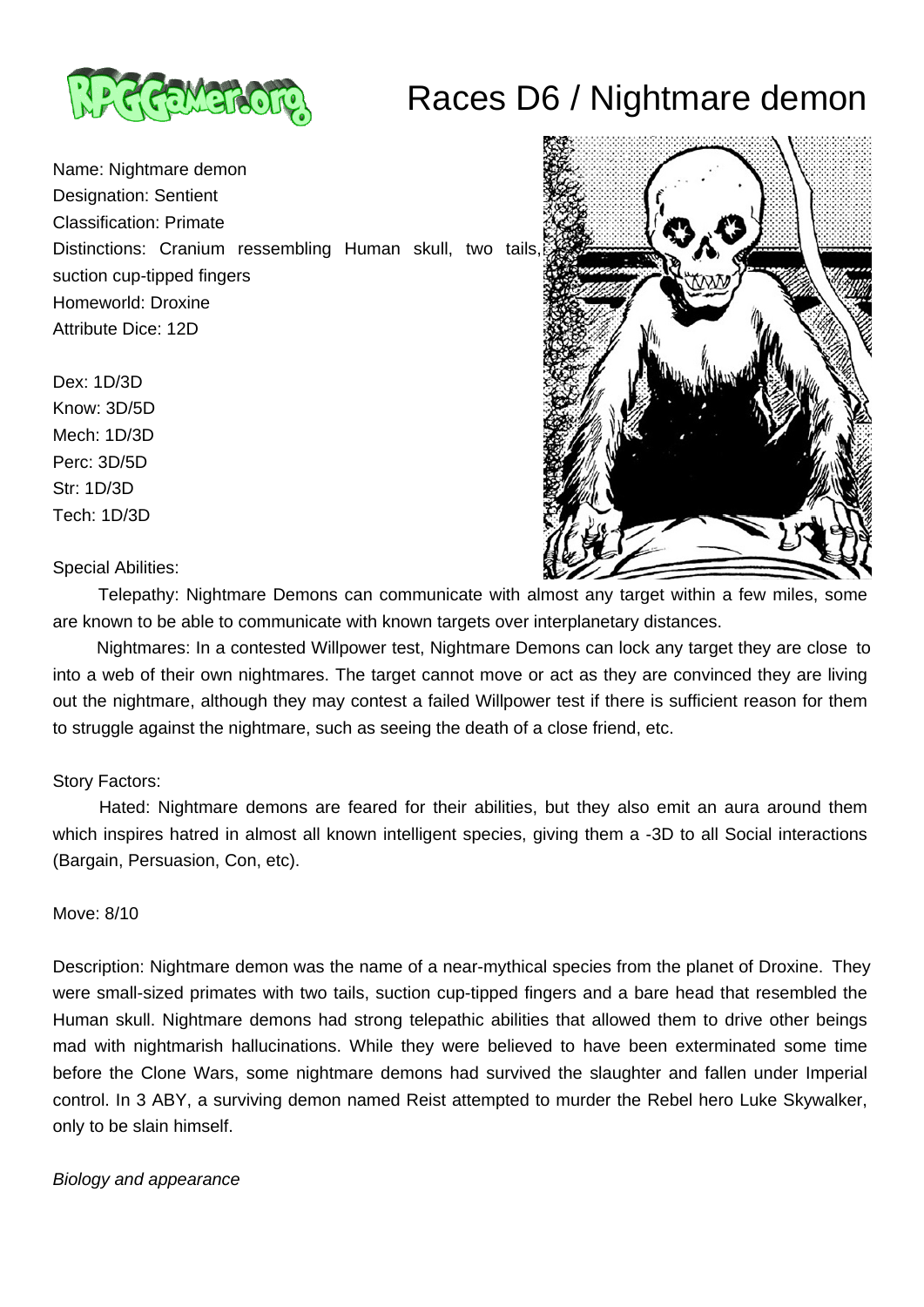



Name: Nightmare demon Designation: Sentient Classification: Primate Distinctions: Cranium ressembling Human skull, two tails, suction cup-tipped fingers Homeworld: Droxine Attribute Dice: 12D

Dex: 1D/3D

Know: 3D/5D Mech: 1D/3D Perc: 3D/5D Str: 1D/3D Tech: 1D/3D



Special Abilities:

 Telepathy: Nightmare Demons can communicate with almost any target within a few miles, some are known to be able to communicate with known targets over interplanetary distances.

 Nightmares: In a contested Willpower test, Nightmare Demons can lock any target they are close to into a web of their own nightmares. The target cannot move or act as they are convinced they are living out the nightmare, although they may contest a failed Willpower test if there is sufficient reason for them to struggle against the nightmare, such as seeing the death of a close friend, etc.

# Story Factors:

 Hated: Nightmare demons are feared for their abilities, but they also emit an aura around them which inspires hatred in almost all known intelligent species, giving them a -3D to all Social interactions (Bargain, Persuasion, Con, etc).

#### Move: 8/10

Description: Nightmare demon was the name of a near-mythical species from the planet of Droxine. They were small-sized primates with two tails, suction cup-tipped fingers and a bare head that resembled the Human skull. Nightmare demons had strong telepathic abilities that allowed them to drive other beings mad with nightmarish hallucinations. While they were believed to have been exterminated some time before the Clone Wars, some nightmare demons had survived the slaughter and fallen under Imperial control. In 3 ABY, a surviving demon named Reist attempted to murder the Rebel hero Luke Skywalker, only to be slain himself.

### Biology and appearance